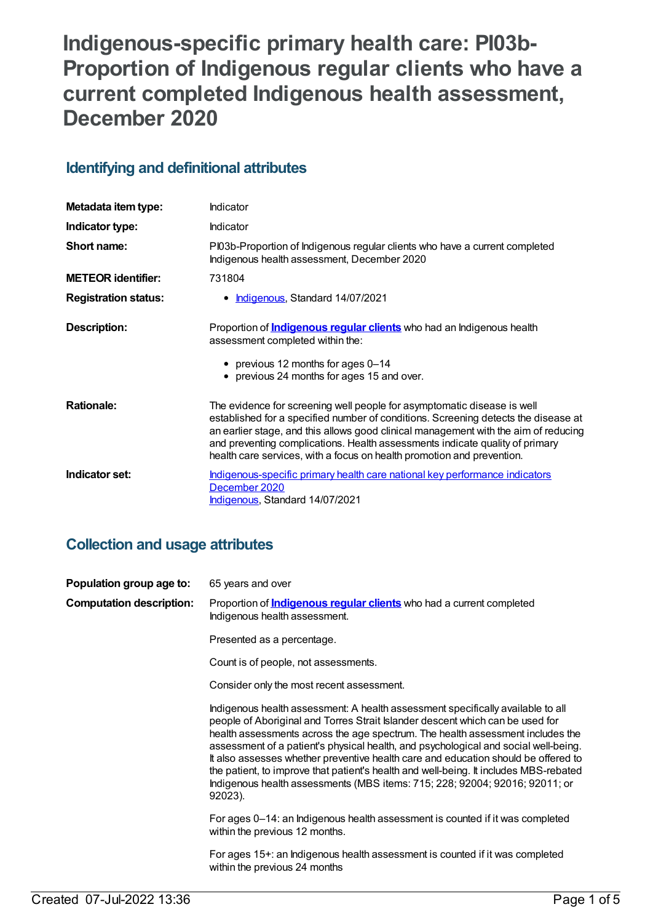# **Indigenous-specific primary health care: PI03b-Proportion of Indigenous regular clients who have a current completed Indigenous health assessment, December 2020**

## **Identifying and definitional attributes**

| Metadata item type:         | Indicator                                                                                                                                                                                                                                                                                                                                                                                                      |
|-----------------------------|----------------------------------------------------------------------------------------------------------------------------------------------------------------------------------------------------------------------------------------------------------------------------------------------------------------------------------------------------------------------------------------------------------------|
| Indicator type:             | Indicator                                                                                                                                                                                                                                                                                                                                                                                                      |
| Short name:                 | PI03b-Proportion of Indigenous regular clients who have a current completed<br>Indigenous health assessment, December 2020                                                                                                                                                                                                                                                                                     |
| <b>METEOR identifier:</b>   | 731804                                                                                                                                                                                                                                                                                                                                                                                                         |
| <b>Registration status:</b> | <b>Indigenous, Standard 14/07/2021</b>                                                                                                                                                                                                                                                                                                                                                                         |
| <b>Description:</b>         | Proportion of <i>Indigenous regular clients</i> who had an Indigenous health<br>assessment completed within the:<br>• previous 12 months for ages 0-14                                                                                                                                                                                                                                                         |
|                             | • previous 24 months for ages 15 and over.                                                                                                                                                                                                                                                                                                                                                                     |
| <b>Rationale:</b>           | The evidence for screening well people for asymptomatic disease is well<br>established for a specified number of conditions. Screening detects the disease at<br>an earlier stage, and this allows good clinical management with the aim of reducing<br>and preventing complications. Health assessments indicate quality of primary<br>health care services, with a focus on health promotion and prevention. |
| Indicator set:              | Indigenous-specific primary health care national key performance indicators<br>December 2020<br>Indigenous, Standard 14/07/2021                                                                                                                                                                                                                                                                                |

### **Collection and usage attributes**

| Population group age to:        | 65 years and over                                                                                                                                                                                                                                                                                                                                                                                                                                                                                                                                                                                                  |
|---------------------------------|--------------------------------------------------------------------------------------------------------------------------------------------------------------------------------------------------------------------------------------------------------------------------------------------------------------------------------------------------------------------------------------------------------------------------------------------------------------------------------------------------------------------------------------------------------------------------------------------------------------------|
| <b>Computation description:</b> | Proportion of <i>Indigenous regular clients</i> who had a current completed<br>Indigenous health assessment.                                                                                                                                                                                                                                                                                                                                                                                                                                                                                                       |
|                                 | Presented as a percentage.                                                                                                                                                                                                                                                                                                                                                                                                                                                                                                                                                                                         |
|                                 | Count is of people, not assessments.                                                                                                                                                                                                                                                                                                                                                                                                                                                                                                                                                                               |
|                                 | Consider only the most recent assessment.                                                                                                                                                                                                                                                                                                                                                                                                                                                                                                                                                                          |
|                                 | Indigenous health assessment: A health assessment specifically available to all<br>people of Aboriginal and Torres Strait Islander descent which can be used for<br>health assessments across the age spectrum. The health assessment includes the<br>assessment of a patient's physical health, and psychological and social well-being.<br>It also assesses whether preventive health care and education should be offered to<br>the patient, to improve that patient's health and well-being. It includes MBS-rebated<br>Indigenous health assessments (MBS items: 715; 228; 92004; 92016; 92011; or<br>92023). |
|                                 | For ages 0–14: an Indigenous health assessment is counted if it was completed<br>within the previous 12 months.                                                                                                                                                                                                                                                                                                                                                                                                                                                                                                    |
|                                 | For ages 15+: an Indigenous health assessment is counted if it was completed<br>within the previous 24 months                                                                                                                                                                                                                                                                                                                                                                                                                                                                                                      |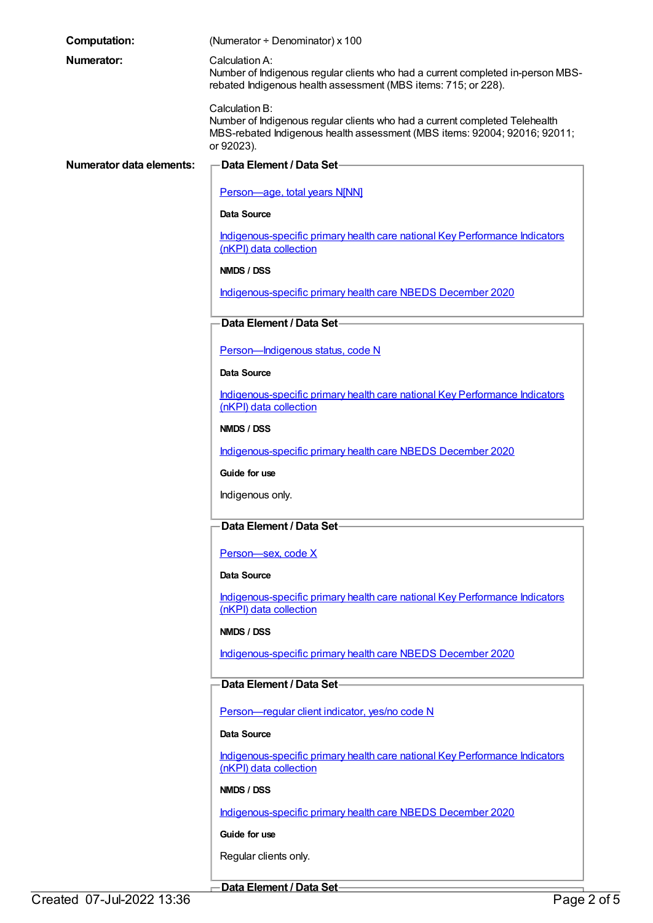| <b>Computation:</b>      | (Numerator ÷ Denominator) x 100                                                                                                                                                          |
|--------------------------|------------------------------------------------------------------------------------------------------------------------------------------------------------------------------------------|
| <b>Numerator:</b>        | Calculation A:<br>Number of Indigenous regular clients who had a current completed in-person MBS-<br>rebated Indigenous health assessment (MBS items: 715; or 228).                      |
|                          | Calculation B:<br>Number of Indigenous regular clients who had a current completed Telehealth<br>MBS-rebated Indigenous health assessment (MBS items: 92004; 92016; 92011;<br>or 92023). |
| Numerator data elements: | Data Element / Data Set-                                                                                                                                                                 |
|                          | Person-age, total years N[NN]                                                                                                                                                            |
|                          | Data Source                                                                                                                                                                              |
|                          | Indigenous-specific primary health care national Key Performance Indicators<br>(nKPI) data collection                                                                                    |
|                          | NMDS / DSS                                                                                                                                                                               |
|                          | Indigenous-specific primary health care NBEDS December 2020                                                                                                                              |
|                          | Data Element / Data Set-                                                                                                                                                                 |
|                          | Person-Indigenous status, code N                                                                                                                                                         |
|                          | Data Source                                                                                                                                                                              |
|                          | Indigenous-specific primary health care national Key Performance Indicators<br>(nKPI) data collection                                                                                    |
|                          | NMDS / DSS                                                                                                                                                                               |
|                          | Indigenous-specific primary health care NBEDS December 2020                                                                                                                              |
|                          | Guide for use                                                                                                                                                                            |
|                          | Indigenous only.                                                                                                                                                                         |
|                          | Data Element / Data Set                                                                                                                                                                  |
|                          | Person-sex, code X                                                                                                                                                                       |
|                          | Data Source                                                                                                                                                                              |
|                          | Indigenous-specific primary health care national Key Performance Indicators<br>(nKPI) data collection                                                                                    |
|                          | NMDS / DSS                                                                                                                                                                               |
|                          | Indigenous-specific primary health care NBEDS December 2020                                                                                                                              |
|                          | Data Element / Data Set-                                                                                                                                                                 |
|                          | Person-regular client indicator, yes/no code N                                                                                                                                           |
|                          | Data Source                                                                                                                                                                              |
|                          | Indigenous-specific primary health care national Key Performance Indicators<br>(nKPI) data collection                                                                                    |
|                          | NMDS / DSS                                                                                                                                                                               |
|                          | Indigenous-specific primary health care NBEDS December 2020                                                                                                                              |
|                          | Guide for use                                                                                                                                                                            |
|                          | Regular clients only.                                                                                                                                                                    |

**Data Element / Data Set**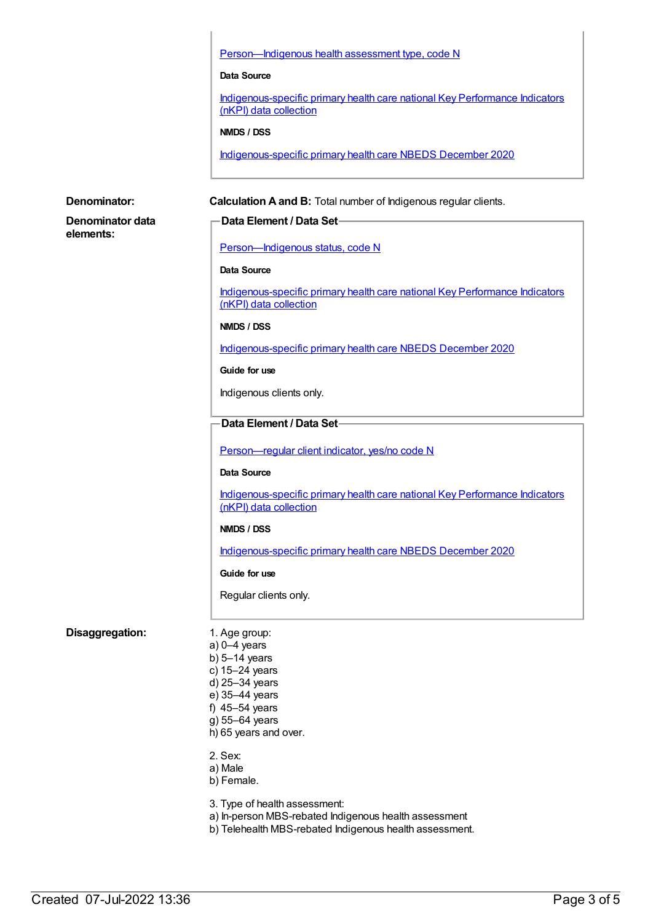Person-Indigenous health assessment type, code N **Data Source** [Indigenous-specific](https://meteor.aihw.gov.au/content/737914) primary health care national Key Performance Indicators (nKPI) data collection **NMDS / DSS** [Indigenous-specific](https://meteor.aihw.gov.au/content/738532) primary health care NBEDS December 2020 **Denominator: Calculation A and B:** Total number of Indigenous regular clients. **Denominator data elements: Data Element / Data Set** [Person—Indigenous](https://meteor.aihw.gov.au/content/602543) status, code N **Data Source** [Indigenous-specific](https://meteor.aihw.gov.au/content/737914) primary health care national Key Performance Indicators (nKPI) data collection **NMDS / DSS** [Indigenous-specific](https://meteor.aihw.gov.au/content/738532) primary health care NBEDS December 2020 **Guide for use** Indigenous clients only. **Data Element / Data Set** Person-regular client indicator, yes/no code N **Data Source** [Indigenous-specific](https://meteor.aihw.gov.au/content/737914) primary health care national Key Performance Indicators (nKPI) data collection **NMDS / DSS** [Indigenous-specific](https://meteor.aihw.gov.au/content/738532) primary health care NBEDS December 2020 **Guide for use** Regular clients only. **Disaggregation:** 1. Age group: a) 0–4 years b) 5–14 years c) 15–24 years

d) 25–34 years e) 35–44 years f) 45–54 years g) 55–64 years h) 65 years and over.

3. Type of health assessment:

a) In-person MBS-rebated Indigenous health assessment b) Telehealth MBS-rebated Indigenous health assessment.

2. Sex: a) Male b) Female.

**Created 07-Jul-2022 13:36** Page 3 of 5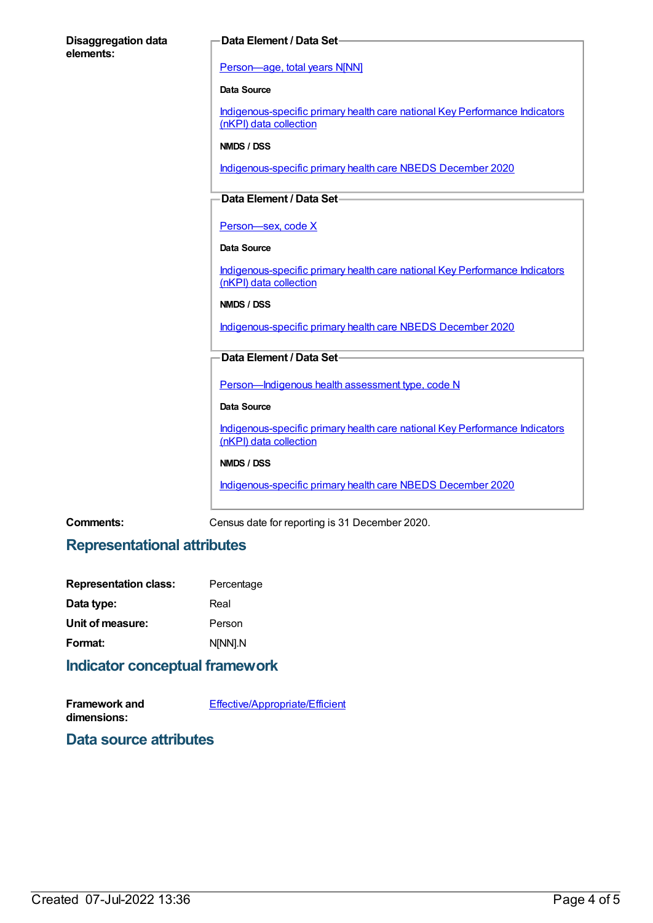# **Disaggregation data elements: Data Element / Data Set** [Person—age,](https://meteor.aihw.gov.au/content/303794) total years N[NN] **Data Source** [Indigenous-specific](https://meteor.aihw.gov.au/content/737914) primary health care national Key Performance Indicators (nKPI) data collection **NMDS / DSS** [Indigenous-specific](https://meteor.aihw.gov.au/content/738532) primary health care NBEDS December 2020 **Data Element / Data Set** Person-sex, code X **Data Source** [Indigenous-specific](https://meteor.aihw.gov.au/content/737914) primary health care national Key Performance Indicators (nKPI) data collection **NMDS / DSS** [Indigenous-specific](https://meteor.aihw.gov.au/content/738532) primary health care NBEDS December 2020 **Data Element / Data Set** Person-Indigenous health assessment type, code N **Data Source** [Indigenous-specific](https://meteor.aihw.gov.au/content/737914) primary health care national Key Performance Indicators (nKPI) data collection **NMDS / DSS** [Indigenous-specific](https://meteor.aihw.gov.au/content/738532) primary health care NBEDS December 2020

**Comments:** Census date for reporting is 31 December 2020.

### **Representational attributes**

| Percentage |
|------------|
| Real       |
| Person     |
| N[NN].N    |
|            |

#### **Indicator conceptual framework**

**Framework and dimensions:** [Effective/Appropriate/Efficient](https://meteor.aihw.gov.au/content/410681)

#### **Data source attributes**